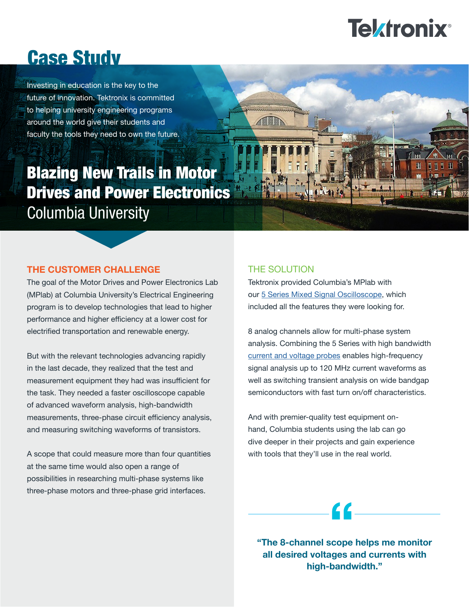# **Tektronix**<sup>®</sup>

## Case Study

Investing in education is the key to the future of innovation. Tektronix is committed to helping university engineering programs around the world give their students and faculty the tools they need to own the future.

### Blazing New Trails in Motor Drives and Power Electronics *Columbia University*

#### **THE CUSTOMER CHALLENGE**

The goal of the Motor Drives and Power Electronics Lab (MPlab) at Columbia University's Electrical Engineering program is to develop technologies that lead to higher performance and higher efficiency at a lower cost for electrified transportation and renewable energy.

But with the relevant technologies advancing rapidly in the last decade, they realized that the test and measurement equipment they had was insufficient for the task. They needed a faster oscilloscope capable of advanced waveform analysis, high-bandwidth measurements, three-phase circuit efficiency analysis, and measuring switching waveforms of transistors.

A scope that could measure more than four quantities at the same time would also open a range of possibilities in researching multi-phase systems like three-phase motors and three-phase grid interfaces.

#### THE SOLUTION

Tektronix provided Columbia's MPlab with our [5 Series Mixed Signal Oscilloscope,](https://www.tek.com/oscilloscope/5-series-mso-mixed-signal-oscilloscope?pdfcode=edu-study-columbia) which included all the features they were looking for.

8 analog channels allow for multi-phase system analysis. Combining the 5 Series with high bandwidth [current and voltage probes](https://www.tek.com/accessories?pdfcode=edu-study-columbia) enables high-frequency signal analysis up to 120 MHz current waveforms as well as switching transient analysis on wide bandgap semiconductors with fast turn on/off characteristics.

And with premier-quality test equipment onhand, Columbia students using the lab can go dive deeper in their projects and gain experience with tools that they'll use in the real world.

**"The 8-channel scope helps me monitor all desired voltages and currents with high-bandwidth."** 

<u>C C</u>